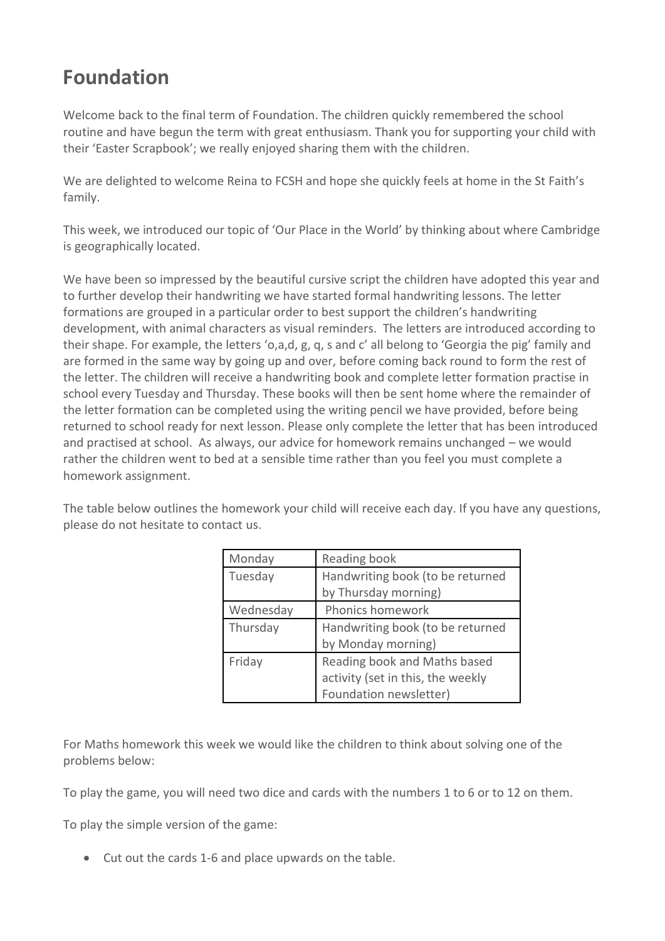## **Foundation**

Welcome back to the final term of Foundation. The children quickly remembered the school routine and have begun the term with great enthusiasm. Thank you for supporting your child with their 'Easter Scrapbook'; we really enjoyed sharing them with the children.

We are delighted to welcome Reina to FCSH and hope she quickly feels at home in the St Faith's family.

This week, we introduced our topic of 'Our Place in the World' by thinking about where Cambridge is geographically located.

We have been so impressed by the beautiful cursive script the children have adopted this year and to further develop their handwriting we have started formal handwriting lessons. The letter formations are grouped in a particular order to best support the children's handwriting development, with animal characters as visual reminders. The letters are introduced according to their shape. For example, the letters 'o,a,d, g, q, s and c' all belong to 'Georgia the pig' family and are formed in the same way by going up and over, before coming back round to form the rest of the letter. The children will receive a handwriting book and complete letter formation practise in school every Tuesday and Thursday. These books will then be sent home where the remainder of the letter formation can be completed using the writing pencil we have provided, before being returned to school ready for next lesson. Please only complete the letter that has been introduced and practised at school. As always, our advice for homework remains unchanged – we would rather the children went to bed at a sensible time rather than you feel you must complete a homework assignment.

The table below outlines the homework your child will receive each day. If you have any questions, please do not hesitate to contact us.

| Monday    | Reading book                      |
|-----------|-----------------------------------|
| Tuesday   | Handwriting book (to be returned  |
|           | by Thursday morning)              |
| Wednesday | Phonics homework                  |
| Thursday  | Handwriting book (to be returned  |
|           | by Monday morning)                |
| Friday    | Reading book and Maths based      |
|           | activity (set in this, the weekly |
|           | Foundation newsletter)            |

For Maths homework this week we would like the children to think about solving one of the problems below:

To play the game, you will need two dice and cards with the numbers 1 to 6 or to 12 on them.

To play the simple version of the game:

• Cut out the cards 1-6 and place upwards on the table.